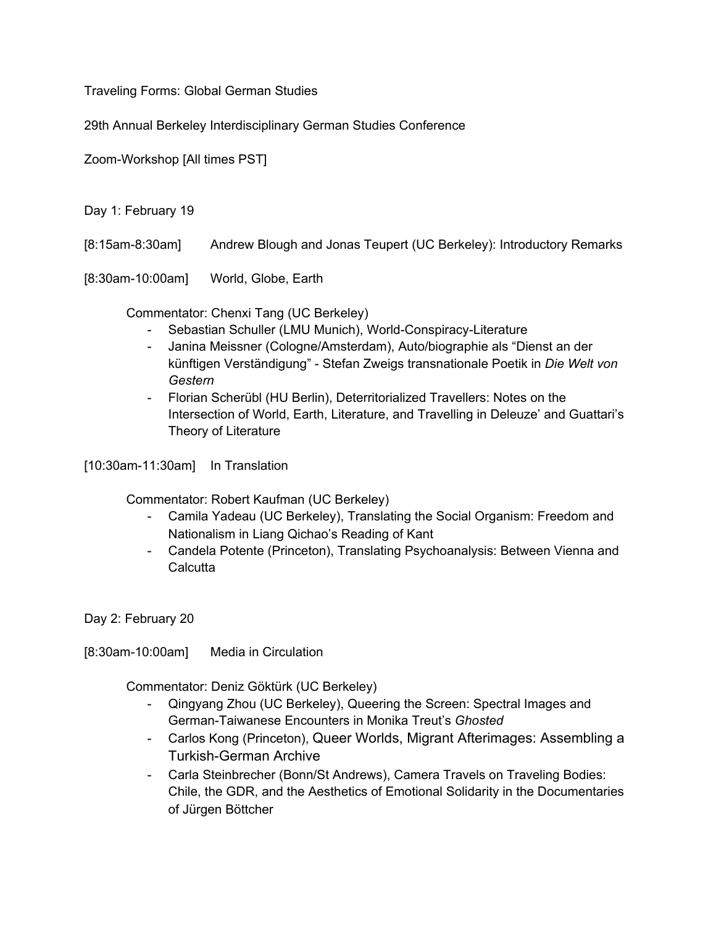Traveling Forms: Global German Studies

29th Annual Berkeley Interdisciplinary German Studies Conference

Zoom-Workshop [All times PST]

Day 1: February 19

[8:15am-8:30am] Andrew Blough and Jonas Teupert (UC Berkeley): Introductory Remarks

[8:30am-10:00am] World, Globe, Earth

Commentator: Chenxi Tang (UC Berkeley)

- Sebastian Schuller (LMU Munich), World-Conspiracy-Literature
- Janina Meissner (Cologne/Amsterdam), Auto/biographie als "Dienst an der künftigen Verständigung" - Stefan Zweigs transnationale Poetik in *Die Welt von Gestern*
- Florian Scherübl (HU Berlin), Deterritorialized Travellers: Notes on the Intersection of World, Earth, Literature, and Travelling in Deleuze' and Guattari's Theory of Literature

[10:30am-11:30am] In Translation

Commentator: Robert Kaufman (UC Berkeley)

- Camila Yadeau (UC Berkeley), Translating the Social Organism: Freedom and Nationalism in Liang Qichao's Reading of Kant
- Candela Potente (Princeton), Translating Psychoanalysis: Between Vienna and **Calcutta**

Day 2: February 20

[8:30am-10:00am] Media in Circulation

Commentator: Deniz Göktürk (UC Berkeley)

- Qingyang Zhou (UC Berkeley), Queering the Screen: Spectral Images and German-Taiwanese Encounters in Monika Treut's *Ghosted*
- Carlos Kong (Princeton), Queer Worlds, Migrant Afterimages: Assembling a Turkish-German Archive
- Carla Steinbrecher (Bonn/St Andrews), Camera Travels on Traveling Bodies: Chile, the GDR, and the Aesthetics of Emotional Solidarity in the Documentaries of Jürgen Böttcher